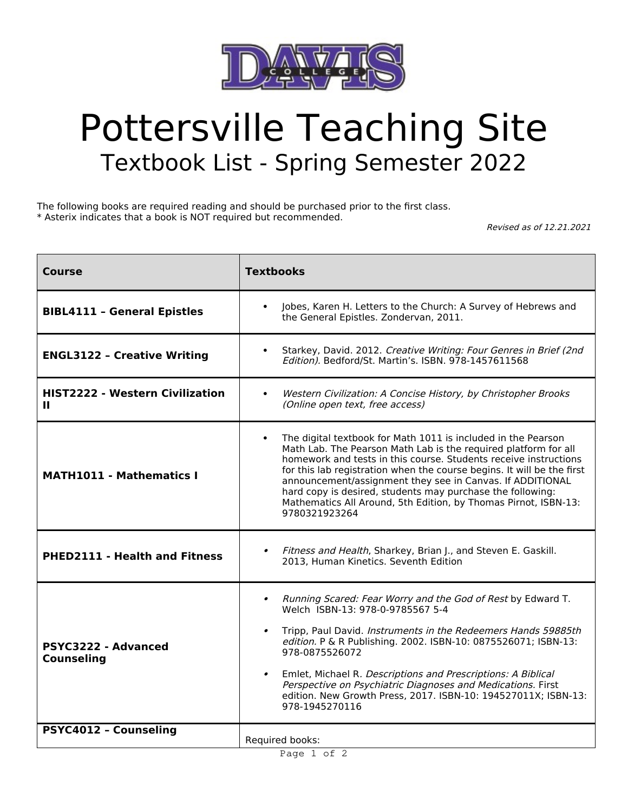

## Pottersville Teaching Site Textbook List - Spring Semester 2022

The following books are required reading and should be purchased prior to the first class. \* Asterix indicates that a book is NOT required but recommended.

Revised as of 12.21.2021

| Course                                          | <b>Textbooks</b>                                                                                                                                                                                                                                                                                                                                                                                                                                                                                               |
|-------------------------------------------------|----------------------------------------------------------------------------------------------------------------------------------------------------------------------------------------------------------------------------------------------------------------------------------------------------------------------------------------------------------------------------------------------------------------------------------------------------------------------------------------------------------------|
| <b>BIBL4111 - General Epistles</b>              | Jobes, Karen H. Letters to the Church: A Survey of Hebrews and<br>$\bullet$<br>the General Epistles. Zondervan, 2011.                                                                                                                                                                                                                                                                                                                                                                                          |
| <b>ENGL3122 - Creative Writing</b>              | Starkey, David. 2012. Creative Writing: Four Genres in Brief (2nd<br>$\bullet$<br>Edition). Bedford/St. Martin's. ISBN. 978-1457611568                                                                                                                                                                                                                                                                                                                                                                         |
| <b>HIST2222 - Western Civilization</b><br>Ш     | Western Civilization: A Concise History, by Christopher Brooks<br>$\bullet$<br>(Online open text, free access)                                                                                                                                                                                                                                                                                                                                                                                                 |
| <b>MATH1011 - Mathematics I</b>                 | The digital textbook for Math 1011 is included in the Pearson<br>$\bullet$<br>Math Lab. The Pearson Math Lab is the required platform for all<br>homework and tests in this course. Students receive instructions<br>for this lab registration when the course begins. It will be the first<br>announcement/assignment they see in Canvas. If ADDITIONAL<br>hard copy is desired, students may purchase the following:<br>Mathematics All Around, 5th Edition, by Thomas Pirnot, ISBN-13:<br>9780321923264     |
| <b>PHED2111 - Health and Fitness</b>            | Fitness and Health, Sharkey, Brian J., and Steven E. Gaskill.<br>$\bullet$<br>2013. Human Kinetics, Seventh Edition                                                                                                                                                                                                                                                                                                                                                                                            |
| <b>PSYC3222 - Advanced</b><br><b>Counseling</b> | Running Scared: Fear Worry and the God of Rest by Edward T.<br>$\bullet$<br>Welch ISBN-13: 978-0-9785567 5-4<br>Tripp, Paul David. Instruments in the Redeemers Hands 59885th<br>$\bullet$<br>edition. P & R Publishing. 2002. ISBN-10: 0875526071; ISBN-13:<br>978-0875526072<br>Emlet, Michael R. Descriptions and Prescriptions: A Biblical<br>$\bullet$<br>Perspective on Psychiatric Diagnoses and Medications. First<br>edition. New Growth Press, 2017. ISBN-10: 194527011X; ISBN-13:<br>978-1945270116 |
| PSYC4012 - Counseling                           | Required books:                                                                                                                                                                                                                                                                                                                                                                                                                                                                                                |